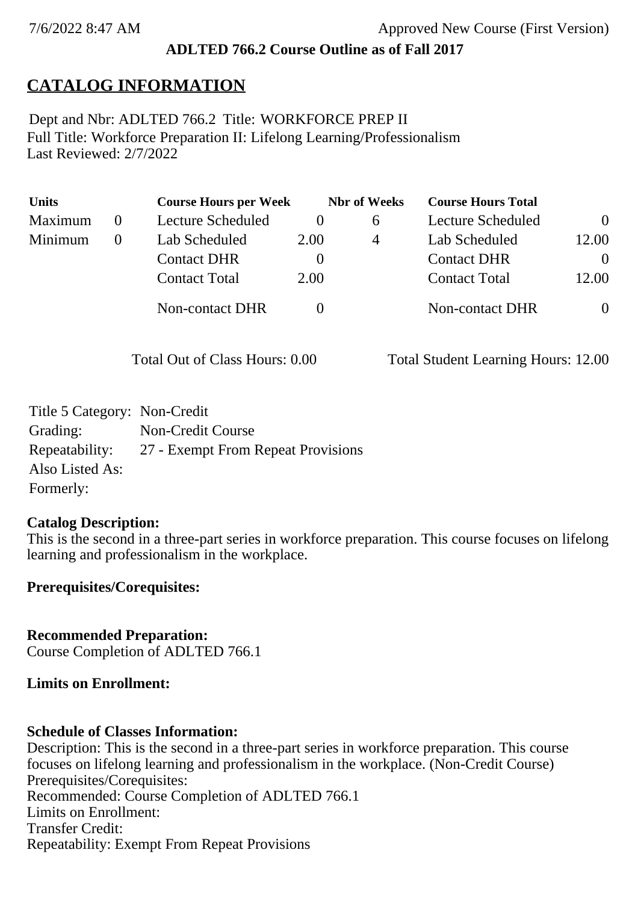### **ADLTED 766.2 Course Outline as of Fall 2017**

# **CATALOG INFORMATION**

Full Title: Workforce Preparation II: Lifelong Learning/Professionalism Last Reviewed: 2/7/2022 Dept and Nbr: ADLTED 766.2 Title: WORKFORCE PREP II

| <b>Units</b> | <b>Course Hours per Week</b> |          | <b>Nbr</b> of Weeks | <b>Course Hours Total</b> |                |
|--------------|------------------------------|----------|---------------------|---------------------------|----------------|
| Maximum      | Lecture Scheduled            |          | <sub>0</sub>        | Lecture Scheduled         | $\theta$       |
| Minimum      | Lab Scheduled                | 2.00     | 4                   | Lab Scheduled             | 12.00          |
|              | <b>Contact DHR</b>           | $\theta$ |                     | <b>Contact DHR</b>        | $\Omega$       |
|              | <b>Contact Total</b>         | 2.00     |                     | <b>Contact Total</b>      | 12.00          |
|              | <b>Non-contact DHR</b>       |          |                     | <b>Non-contact DHR</b>    | $\overline{0}$ |

Total Out of Class Hours: 0.00 Total Student Learning Hours: 12.00

| Title 5 Category: Non-Credit |                                    |
|------------------------------|------------------------------------|
| Grading:                     | Non-Credit Course                  |
| Repeatability:               | 27 - Exempt From Repeat Provisions |
| Also Listed As:              |                                    |
| Formerly:                    |                                    |

### **Catalog Description:**

This is the second in a three-part series in workforce preparation. This course focuses on lifelong learning and professionalism in the workplace.

#### **Prerequisites/Corequisites:**

**Recommended Preparation:** Course Completion of ADLTED 766.1

#### **Limits on Enrollment:**

### **Schedule of Classes Information:**

Description: This is the second in a three-part series in workforce preparation. This course focuses on lifelong learning and professionalism in the workplace. (Non-Credit Course) Prerequisites/Corequisites: Recommended: Course Completion of ADLTED 766.1 Limits on Enrollment: Transfer Credit: Repeatability: Exempt From Repeat Provisions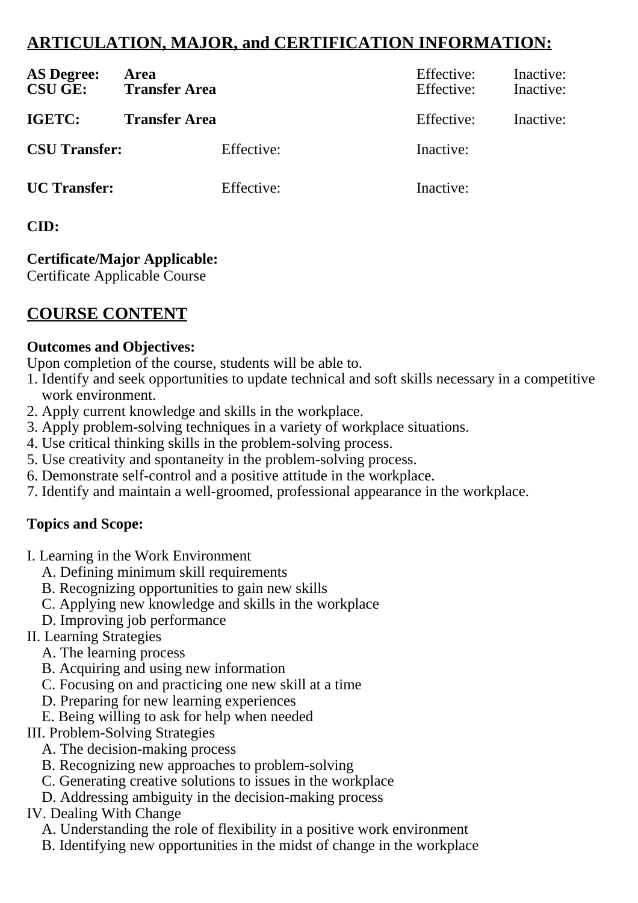# **ARTICULATION, MAJOR, and CERTIFICATION INFORMATION:**

| <b>AS Degree:</b><br><b>CSU GE:</b> | Area<br><b>Transfer Area</b> | Effective:<br>Effective: | Inactive:<br>Inactive: |
|-------------------------------------|------------------------------|--------------------------|------------------------|
| IGETC:                              | <b>Transfer Area</b>         | Effective:               | Inactive:              |
| <b>CSU Transfer:</b>                | Effective:                   | Inactive:                |                        |
| <b>UC</b> Transfer:                 | Effective:                   | Inactive:                |                        |

## **CID:**

# **Certificate/Major Applicable:**

[Certificate Applicable Course](SR_ClassCheck.aspx?CourseKey=ADLTED766.2)

# **COURSE CONTENT**

### **Outcomes and Objectives:**

Upon completion of the course, students will be able to.

- 1. Identify and seek opportunities to update technical and soft skills necessary in a competitive work environment.
- 2. Apply current knowledge and skills in the workplace.
- 3. Apply problem-solving techniques in a variety of workplace situations.
- 4. Use critical thinking skills in the problem-solving process.
- 5. Use creativity and spontaneity in the problem-solving process.
- 6. Demonstrate self-control and a positive attitude in the workplace.
- 7. Identify and maintain a well-groomed, professional appearance in the workplace.

### **Topics and Scope:**

- I. Learning in the Work Environment
	- A. Defining minimum skill requirements
	- B. Recognizing opportunities to gain new skills
	- C. Applying new knowledge and skills in the workplace
	- D. Improving job performance

### II. Learning Strategies

- A. The learning process
- B. Acquiring and using new information
- C. Focusing on and practicing one new skill at a time
- D. Preparing for new learning experiences
- E. Being willing to ask for help when needed
- III. Problem-Solving Strategies
	- A. The decision-making process
	- B. Recognizing new approaches to problem-solving
	- C. Generating creative solutions to issues in the workplace
	- D. Addressing ambiguity in the decision-making process

### IV. Dealing With Change

- A. Understanding the role of flexibility in a positive work environment
- B. Identifying new opportunities in the midst of change in the workplace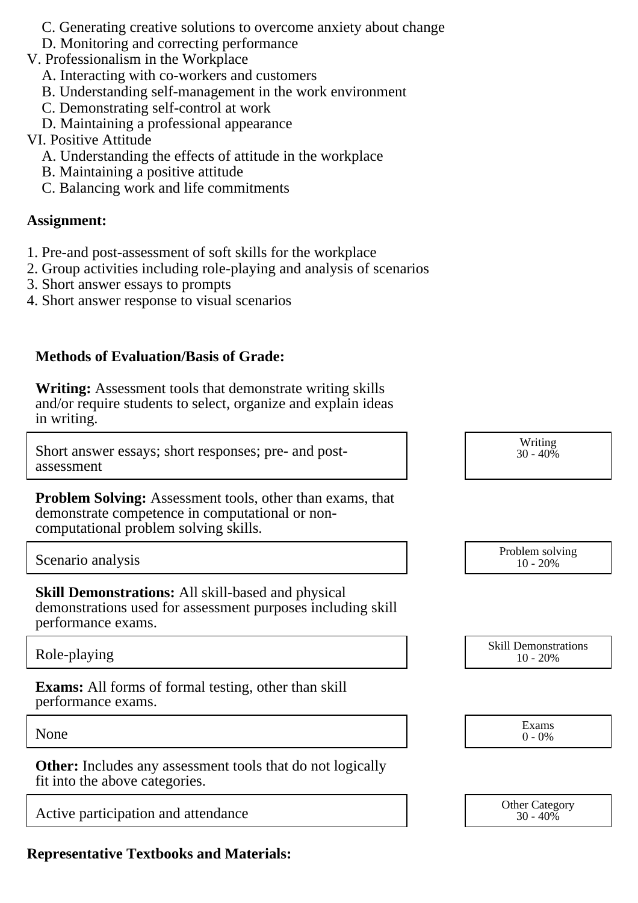- C. Generating creative solutions to overcome anxiety about change
- D. Monitoring and correcting performance
- V. Professionalism in the Workplace
	- A. Interacting with co-workers and customers
	- B. Understanding self-management in the work environment
	- C. Demonstrating self-control at work
	- D. Maintaining a professional appearance

### VI. Positive Attitude

- A. Understanding the effects of attitude in the workplace
- B. Maintaining a positive attitude
- C. Balancing work and life commitments

### **Assignment:**

- 1. Pre-and post-assessment of soft skills for the workplace
- 2. Group activities including role-playing and analysis of scenarios
- 3. Short answer essays to prompts
- 4. Short answer response to visual scenarios

### **Methods of Evaluation/Basis of Grade:**

**Writing:** Assessment tools that demonstrate writing skills and/or require students to select, organize and explain ideas in writing.

Short answer essays; short responses; pre- and postassessment

**Problem Solving:** Assessment tools, other than exams, that demonstrate competence in computational or noncomputational problem solving skills.

# Scenario analysis Problem solving analysis Problem solving Problem solving Problem solving

**Skill Demonstrations:** All skill-based and physical demonstrations used for assessment purposes including skill performance exams.

**Exams:** All forms of formal testing, other than skill performance exams.

**Other:** Includes any assessment tools that do not logically fit into the above categories.

Active participation and attendance  $\overline{30-40\%}$  Other Category

**Representative Textbooks and Materials:**

| Writing  |
|----------|
| 30 - 40% |

| L'IODICIII SOLVIIIE<br>$10 - 20%$ |  |
|-----------------------------------|--|
|                                   |  |

Role-playing and the state of the state of the Skill Demonstrations of the Skill Demonstrations of the Skill Demonstrations of the Skill Demonstrations of the Skill Demonstrations of the Skill Demonstrations of the Skill D 10 - 20%

None Exams Exams and the Exams of the Exams of the Exams of the Exams of the Exams of the Exams of the Exams of the Exams of the Exams of the Exams of the Exams of the Exams of the Exams of the Exams of the Exams of the Ex 0 - 0%

 $30 - 40\%$